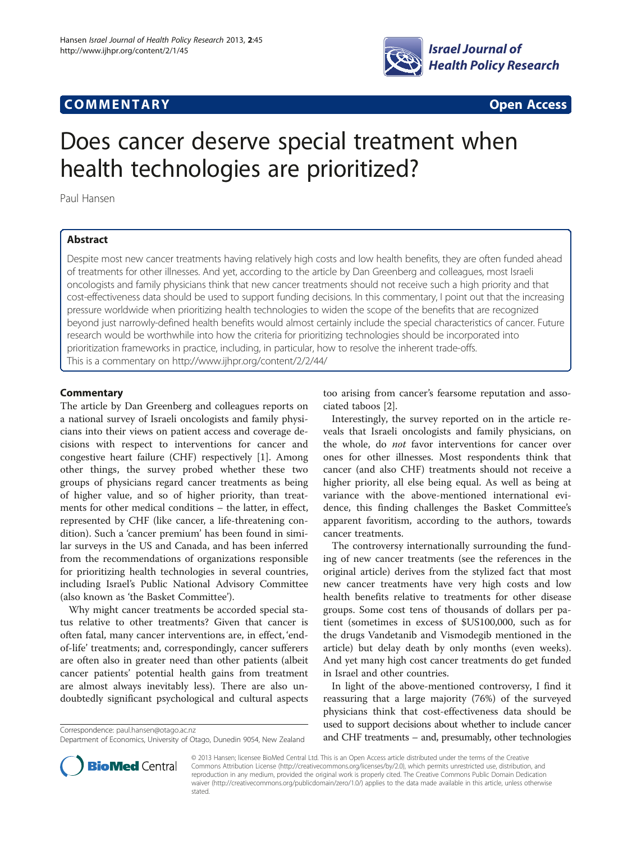# **COMMENTARY COMMENTARY Open Access**



# Does cancer deserve special treatment when health technologies are prioritized?

Paul Hansen

## Abstract

Despite most new cancer treatments having relatively high costs and low health benefits, they are often funded ahead of treatments for other illnesses. And yet, according to the article by Dan Greenberg and colleagues, most Israeli oncologists and family physicians think that new cancer treatments should not receive such a high priority and that cost-effectiveness data should be used to support funding decisions. In this commentary, I point out that the increasing pressure worldwide when prioritizing health technologies to widen the scope of the benefits that are recognized beyond just narrowly-defined health benefits would almost certainly include the special characteristics of cancer. Future research would be worthwhile into how the criteria for prioritizing technologies should be incorporated into prioritization frameworks in practice, including, in particular, how to resolve the inherent trade-offs. This is a commentary on<http://www.ijhpr.org/content/2/2/44/>

### **Commentary**

The article by Dan Greenberg and colleagues reports on a national survey of Israeli oncologists and family physicians into their views on patient access and coverage decisions with respect to interventions for cancer and congestive heart failure (CHF) respectively [\[1](#page-2-0)]. Among other things, the survey probed whether these two groups of physicians regard cancer treatments as being of higher value, and so of higher priority, than treatments for other medical conditions – the latter, in effect, represented by CHF (like cancer, a life-threatening condition). Such a 'cancer premium' has been found in similar surveys in the US and Canada, and has been inferred from the recommendations of organizations responsible for prioritizing health technologies in several countries, including Israel's Public National Advisory Committee (also known as 'the Basket Committee').

Why might cancer treatments be accorded special status relative to other treatments? Given that cancer is often fatal, many cancer interventions are, in effect, 'endof-life' treatments; and, correspondingly, cancer sufferers are often also in greater need than other patients (albeit cancer patients' potential health gains from treatment are almost always inevitably less). There are also undoubtedly significant psychological and cultural aspects

too arising from cancer's fearsome reputation and associated taboos [[2\]](#page-2-0).

Interestingly, the survey reported on in the article reveals that Israeli oncologists and family physicians, on the whole, do not favor interventions for cancer over ones for other illnesses. Most respondents think that cancer (and also CHF) treatments should not receive a higher priority, all else being equal. As well as being at variance with the above-mentioned international evidence, this finding challenges the Basket Committee's apparent favoritism, according to the authors, towards cancer treatments.

The controversy internationally surrounding the funding of new cancer treatments (see the references in the original article) derives from the stylized fact that most new cancer treatments have very high costs and low health benefits relative to treatments for other disease groups. Some cost tens of thousands of dollars per patient (sometimes in excess of \$US100,000, such as for the drugs Vandetanib and Vismodegib mentioned in the article) but delay death by only months (even weeks). And yet many high cost cancer treatments do get funded in Israel and other countries.

In light of the above-mentioned controversy, I find it reassuring that a large majority (76%) of the surveyed physicians think that cost-effectiveness data should be used to support decisions about whether to include cancer Correspondence: [paul.hansen@otago.ac.nz](mailto:paul.hansen@otago.ac.nz)<br>Department of Economics. University of Otago. Dunedin 9054. New Zealand and CHF treatments – and, presumably, other technologies



© 2013 Hansen; licensee BioMed Central Ltd. This is an Open Access article distributed under the terms of the Creative Commons Attribution License [\(http://creativecommons.org/licenses/by/2.0\)](http://creativecommons.org/licenses/by/2.0), which permits unrestricted use, distribution, and reproduction in any medium, provided the original work is properly cited. The Creative Commons Public Domain Dedication waiver [\(http://creativecommons.org/publicdomain/zero/1.0/\)](http://creativecommons.org/publicdomain/zero/1.0/) applies to the data made available in this article, unless otherwise stated.

Department of Economics, University of Otago, Dunedin 9054, New Zealand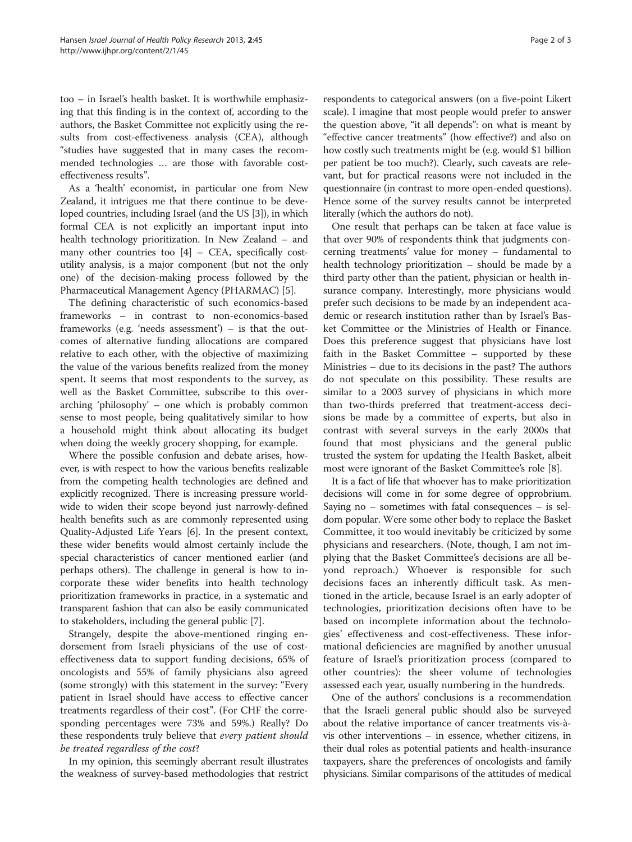too – in Israel's health basket. It is worthwhile emphasizing that this finding is in the context of, according to the authors, the Basket Committee not explicitly using the results from cost-effectiveness analysis (CEA), although "studies have suggested that in many cases the recommended technologies … are those with favorable costeffectiveness results".

As a 'health' economist, in particular one from New Zealand, it intrigues me that there continue to be developed countries, including Israel (and the US [\[3](#page-2-0)]), in which formal CEA is not explicitly an important input into health technology prioritization. In New Zealand – and many other countries too [\[4\]](#page-2-0) – CEA, specifically costutility analysis, is a major component (but not the only one) of the decision-making process followed by the Pharmaceutical Management Agency (PHARMAC) [\[5\]](#page-2-0).

The defining characteristic of such economics-based frameworks – in contrast to non-economics-based frameworks (e.g. 'needs assessment') – is that the outcomes of alternative funding allocations are compared relative to each other, with the objective of maximizing the value of the various benefits realized from the money spent. It seems that most respondents to the survey, as well as the Basket Committee, subscribe to this overarching 'philosophy' – one which is probably common sense to most people, being qualitatively similar to how a household might think about allocating its budget when doing the weekly grocery shopping, for example.

Where the possible confusion and debate arises, however, is with respect to how the various benefits realizable from the competing health technologies are defined and explicitly recognized. There is increasing pressure worldwide to widen their scope beyond just narrowly-defined health benefits such as are commonly represented using Quality-Adjusted Life Years [\[6\]](#page-2-0). In the present context, these wider benefits would almost certainly include the special characteristics of cancer mentioned earlier (and perhaps others). The challenge in general is how to incorporate these wider benefits into health technology prioritization frameworks in practice, in a systematic and transparent fashion that can also be easily communicated to stakeholders, including the general public [\[7](#page-2-0)].

Strangely, despite the above-mentioned ringing endorsement from Israeli physicians of the use of costeffectiveness data to support funding decisions, 65% of oncologists and 55% of family physicians also agreed (some strongly) with this statement in the survey: "Every patient in Israel should have access to effective cancer treatments regardless of their cost". (For CHF the corresponding percentages were 73% and 59%.) Really? Do these respondents truly believe that every patient should be treated regardless of the cost?

In my opinion, this seemingly aberrant result illustrates the weakness of survey-based methodologies that restrict

respondents to categorical answers (on a five-point Likert scale). I imagine that most people would prefer to answer the question above, "it all depends": on what is meant by "effective cancer treatments" (how effective?) and also on how costly such treatments might be (e.g. would \$1 billion per patient be too much?). Clearly, such caveats are relevant, but for practical reasons were not included in the questionnaire (in contrast to more open-ended questions). Hence some of the survey results cannot be interpreted literally (which the authors do not).

One result that perhaps can be taken at face value is that over 90% of respondents think that judgments concerning treatments' value for money – fundamental to health technology prioritization – should be made by a third party other than the patient, physician or health insurance company. Interestingly, more physicians would prefer such decisions to be made by an independent academic or research institution rather than by Israel's Basket Committee or the Ministries of Health or Finance. Does this preference suggest that physicians have lost faith in the Basket Committee – supported by these Ministries – due to its decisions in the past? The authors do not speculate on this possibility. These results are similar to a 2003 survey of physicians in which more than two-thirds preferred that treatment-access decisions be made by a committee of experts, but also in contrast with several surveys in the early 2000s that found that most physicians and the general public trusted the system for updating the Health Basket, albeit most were ignorant of the Basket Committee's role [[8\]](#page-2-0).

It is a fact of life that whoever has to make prioritization decisions will come in for some degree of opprobrium. Saying no – sometimes with fatal consequences – is seldom popular. Were some other body to replace the Basket Committee, it too would inevitably be criticized by some physicians and researchers. (Note, though, I am not implying that the Basket Committee's decisions are all beyond reproach.) Whoever is responsible for such decisions faces an inherently difficult task. As mentioned in the article, because Israel is an early adopter of technologies, prioritization decisions often have to be based on incomplete information about the technologies' effectiveness and cost-effectiveness. These informational deficiencies are magnified by another unusual feature of Israel's prioritization process (compared to other countries): the sheer volume of technologies assessed each year, usually numbering in the hundreds.

One of the authors' conclusions is a recommendation that the Israeli general public should also be surveyed about the relative importance of cancer treatments vis-àvis other interventions – in essence, whether citizens, in their dual roles as potential patients and health-insurance taxpayers, share the preferences of oncologists and family physicians. Similar comparisons of the attitudes of medical